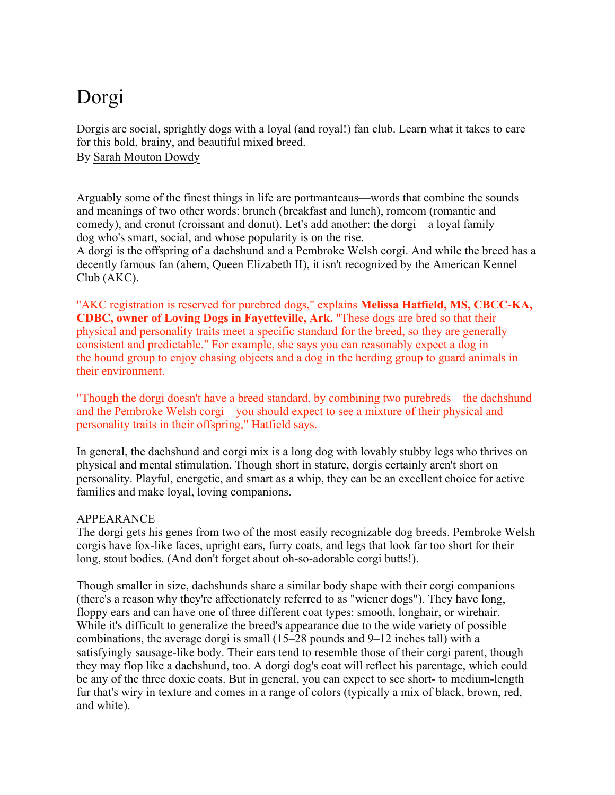# Dorgi

Dorgis are social, sprightly dogs with a loyal (and royal!) fan club. Learn what it takes to care for this bold, brainy, and beautiful mixed breed.

By Sarah Mouton Dowdy

Arguably some of the finest things in life are portmanteaus—words that combine the sounds and meanings of two other words: brunch (breakfast and lunch), romcom (romantic and comedy), and cronut (croissant and donut). Let's add another: the dorgi—a loyal family dog who's smart, social, and whose popularity is on the rise.

A dorgi is the offspring of a dachshund and a Pembroke Welsh corgi. And while the breed has a decently famous fan (ahem, Queen Elizabeth II), it isn't recognized by the American Kennel Club (AKC).

"AKC registration is reserved for purebred dogs," explains **Melissa Hatfield, MS, CBCC-KA, CDBC, owner of Loving Dogs in Fayetteville, Ark.** "These dogs are bred so that their physical and personality traits meet a specific standard for the breed, so they are generally consistent and predictable." For example, she says you can reasonably expect a dog in the hound group to enjoy chasing objects and a dog in the herding group to guard animals in their environment.

"Though the dorgi doesn't have a breed standard, by combining two purebreds—the dachshund and the Pembroke Welsh corgi—you should expect to see a mixture of their physical and personality traits in their offspring," Hatfield says.

In general, the dachshund and corgi mix is a long dog with lovably stubby legs who thrives on physical and mental stimulation. Though short in stature, dorgis certainly aren't short on personality. Playful, energetic, and smart as a whip, they can be an excellent choice for active families and make loyal, loving companions.

## APPEARANCE

The dorgi gets his genes from two of the most easily recognizable dog breeds. Pembroke Welsh corgis have fox-like faces, upright ears, furry coats, and legs that look far too short for their long, stout bodies. (And don't forget about oh-so-adorable corgi butts!).

Though smaller in size, dachshunds share a similar body shape with their corgi companions (there's a reason why they're affectionately referred to as "wiener dogs"). They have long, floppy ears and can have one of three different coat types: smooth, longhair, or wirehair. While it's difficult to generalize the breed's appearance due to the wide variety of possible combinations, the average dorgi is small (15–28 pounds and 9–12 inches tall) with a satisfyingly sausage-like body. Their ears tend to resemble those of their corgi parent, though they may flop like a dachshund, too. A dorgi dog's coat will reflect his parentage, which could be any of the three doxie coats. But in general, you can expect to see short- to medium-length fur that's wiry in texture and comes in a range of colors (typically a mix of black, brown, red, and white).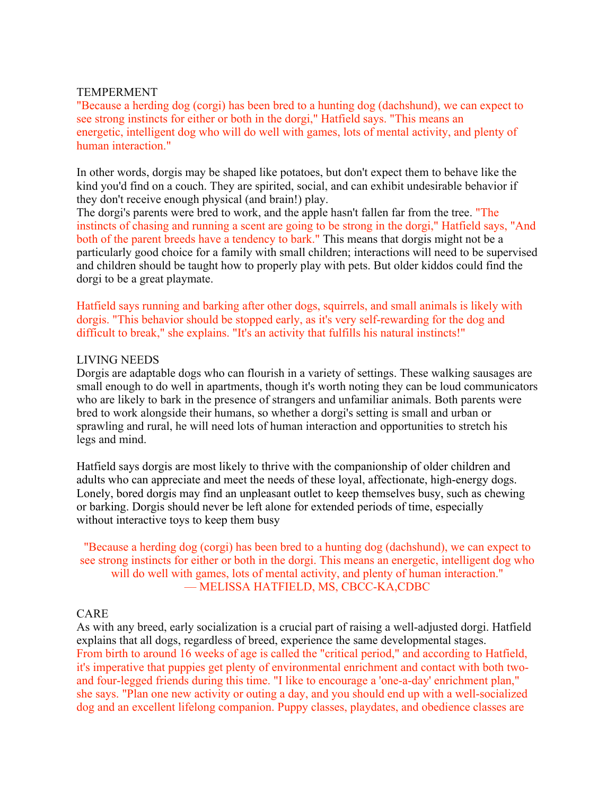#### TEMPERMENT

"Because a herding dog (corgi) has been bred to a hunting dog (dachshund), we can expect to see strong instincts for either or both in the dorgi," Hatfield says. "This means an energetic, intelligent dog who will do well with games, lots of mental activity, and plenty of human interaction."

In other words, dorgis may be shaped like potatoes, but don't expect them to behave like the kind you'd find on a couch. They are spirited, social, and can exhibit undesirable behavior if they don't receive enough physical (and brain!) play.

The dorgi's parents were bred to work, and the apple hasn't fallen far from the tree. "The instincts of chasing and running a scent are going to be strong in the dorgi," Hatfield says, "And both of the parent breeds have a tendency to bark." This means that dorgis might not be a particularly good choice for a family with small children; interactions will need to be supervised and children should be taught how to properly play with pets. But older kiddos could find the dorgi to be a great playmate.

Hatfield says running and barking after other dogs, squirrels, and small animals is likely with dorgis. "This behavior should be stopped early, as it's very self-rewarding for the dog and difficult to break," she explains. "It's an activity that fulfills his natural instincts!"

#### LIVING NEEDS

Dorgis are adaptable dogs who can flourish in a variety of settings. These walking sausages are small enough to do well in apartments, though it's worth noting they can be loud communicators who are likely to bark in the presence of strangers and unfamiliar animals. Both parents were bred to work alongside their humans, so whether a dorgi's setting is small and urban or sprawling and rural, he will need lots of human interaction and opportunities to stretch his legs and mind.

Hatfield says dorgis are most likely to thrive with the companionship of older children and adults who can appreciate and meet the needs of these loyal, affectionate, high-energy dogs. Lonely, bored dorgis may find an unpleasant outlet to keep themselves busy, such as chewing or barking. Dorgis should never be left alone for extended periods of time, especially without interactive toys to keep them busy

"Because a herding dog (corgi) has been bred to a hunting dog (dachshund), we can expect to see strong instincts for either or both in the dorgi. This means an energetic, intelligent dog who will do well with games, lots of mental activity, and plenty of human interaction." — MELISSA HATFIELD, MS, CBCC-KA,CDBC

## CARE

As with any breed, early socialization is a crucial part of raising a well-adjusted dorgi. Hatfield explains that all dogs, regardless of breed, experience the same developmental stages. From birth to around 16 weeks of age is called the "critical period," and according to Hatfield, it's imperative that puppies get plenty of environmental enrichment and contact with both twoand four-legged friends during this time. "I like to encourage a 'one-a-day' enrichment plan," she says. "Plan one new activity or outing a day, and you should end up with a well-socialized dog and an excellent lifelong companion. Puppy classes, playdates, and obedience classes are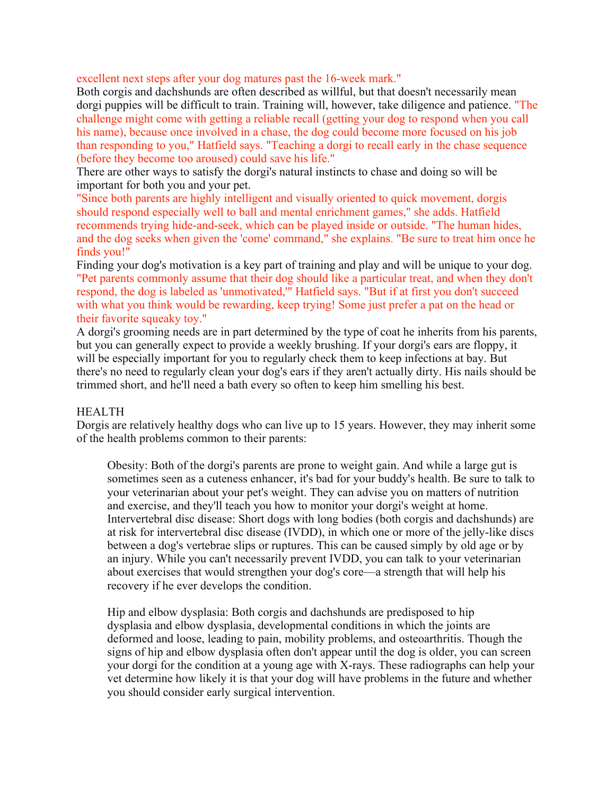excellent next steps after your dog matures past the 16-week mark."

Both corgis and dachshunds are often described as willful, but that doesn't necessarily mean dorgi puppies will be difficult to train. Training will, however, take diligence and patience. "The challenge might come with getting a reliable recall (getting your dog to respond when you call his name), because once involved in a chase, the dog could become more focused on his job than responding to you," Hatfield says. "Teaching a dorgi to recall early in the chase sequence (before they become too aroused) could save his life."

There are other ways to satisfy the dorgi's natural instincts to chase and doing so will be important for both you and your pet.

"Since both parents are highly intelligent and visually oriented to quick movement, dorgis should respond especially well to ball and mental enrichment games," she adds. Hatfield recommends trying hide-and-seek, which can be played inside or outside. "The human hides, and the dog seeks when given the 'come' command," she explains. "Be sure to treat him once he finds you!"

Finding your dog's motivation is a key part of training and play and will be unique to your dog. "Pet parents commonly assume that their dog should like a particular treat, and when they don't respond, the dog is labeled as 'unmotivated,'" Hatfield says. "But if at first you don't succeed with what you think would be rewarding, keep trying! Some just prefer a pat on the head or their favorite squeaky toy."

A dorgi's grooming needs are in part determined by the type of coat he inherits from his parents, but you can generally expect to provide a weekly brushing. If your dorgi's ears are floppy, it will be especially important for you to regularly check them to keep infections at bay. But there's no need to regularly clean your dog's ears if they aren't actually dirty. His nails should be trimmed short, and he'll need a bath every so often to keep him smelling his best.

## **HEALTH**

Dorgis are relatively healthy dogs who can live up to 15 years. However, they may inherit some of the health problems common to their parents:

Obesity: Both of the dorgi's parents are prone to weight gain. And while a large gut is sometimes seen as a cuteness enhancer, it's bad for your buddy's health. Be sure to talk to your veterinarian about your pet's weight. They can advise you on matters of nutrition and exercise, and they'll teach you how to monitor your dorgi's weight at home. Intervertebral disc disease: Short dogs with long bodies (both corgis and dachshunds) are at risk for intervertebral disc disease (IVDD), in which one or more of the jelly-like discs between a dog's vertebrae slips or ruptures. This can be caused simply by old age or by an injury. While you can't necessarily prevent IVDD, you can talk to your veterinarian about exercises that would strengthen your dog's core—a strength that will help his recovery if he ever develops the condition.

Hip and elbow dysplasia: Both corgis and dachshunds are predisposed to hip dysplasia and elbow dysplasia, developmental conditions in which the joints are deformed and loose, leading to pain, mobility problems, and osteoarthritis. Though the signs of hip and elbow dysplasia often don't appear until the dog is older, you can screen your dorgi for the condition at a young age with X-rays. These radiographs can help your vet determine how likely it is that your dog will have problems in the future and whether you should consider early surgical intervention.